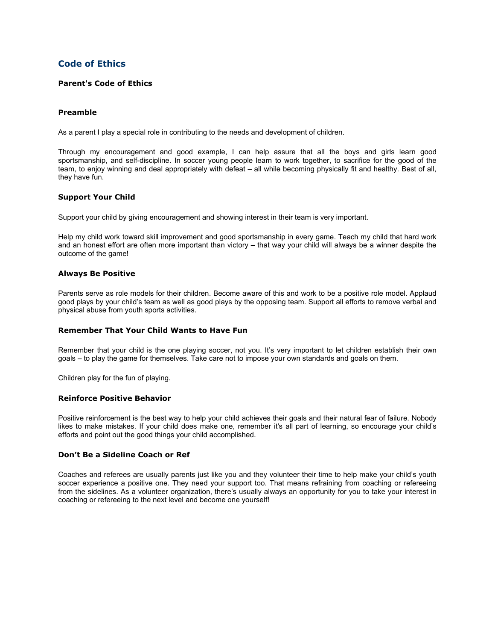# **Code of Ethics**

## **Parent's Code of Ethics**

## **Preamble**

As a parent I play a special role in contributing to the needs and development of children.

Through my encouragement and good example, I can help assure that all the boys and girls learn good sportsmanship, and self-discipline. In soccer young people learn to work together, to sacrifice for the good of the team, to enjoy winning and deal appropriately with defeat – all while becoming physically fit and healthy. Best of all, they have fun.

## **Support Your Child**

Support your child by giving encouragement and showing interest in their team is very important.

Help my child work toward skill improvement and good sportsmanship in every game. Teach my child that hard work and an honest effort are often more important than victory – that way your child will always be a winner despite the outcome of the game!

### **Always Be Positive**

Parents serve as role models for their children. Become aware of this and work to be a positive role model. Applaud good plays by your child's team as well as good plays by the opposing team. Support all efforts to remove verbal and physical abuse from youth sports activities.

## **Remember That Your Child Wants to Have Fun**

Remember that your child is the one playing soccer, not you. It's very important to let children establish their own goals – to play the game for themselves. Take care not to impose your own standards and goals on them.

Children play for the fun of playing.

## **Reinforce Positive Behavior**

Positive reinforcement is the best way to help your child achieves their goals and their natural fear of failure. Nobody likes to make mistakes. If your child does make one, remember it's all part of learning, so encourage your child's efforts and point out the good things your child accomplished.

### **Don't Be a Sideline Coach or Ref**

Coaches and referees are usually parents just like you and they volunteer their time to help make your child's youth soccer experience a positive one. They need your support too. That means refraining from coaching or refereeing from the sidelines. As a volunteer organization, there's usually always an opportunity for you to take your interest in coaching or refereeing to the next level and become one yourself!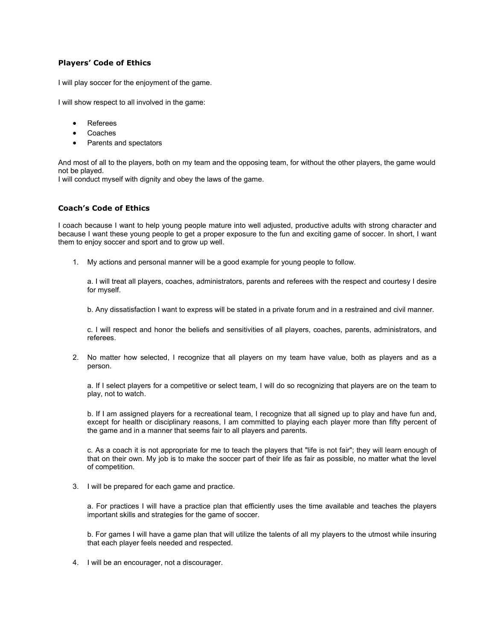# **Players' Code of Ethics**

I will play soccer for the enjoyment of the game.

I will show respect to all involved in the game:

- Referees
- **Coaches**
- Parents and spectators

And most of all to the players, both on my team and the opposing team, for without the other players, the game would not be played.

I will conduct myself with dignity and obey the laws of the game.

# **Coach's Code of Ethics**

I coach because I want to help young people mature into well adjusted, productive adults with strong character and because I want these young people to get a proper exposure to the fun and exciting game of soccer. In short, I want them to enjoy soccer and sport and to grow up well.

1. My actions and personal manner will be a good example for young people to follow.

a. I will treat all players, coaches, administrators, parents and referees with the respect and courtesy I desire for myself.

b. Any dissatisfaction I want to express will be stated in a private forum and in a restrained and civil manner.

c. I will respect and honor the beliefs and sensitivities of all players, coaches, parents, administrators, and referees.

2. No matter how selected, I recognize that all players on my team have value, both as players and as a person.

a. If I select players for a competitive or select team, I will do so recognizing that players are on the team to play, not to watch.

b. If I am assigned players for a recreational team, I recognize that all signed up to play and have fun and, except for health or disciplinary reasons, I am committed to playing each player more than fifty percent of the game and in a manner that seems fair to all players and parents.

c. As a coach it is not appropriate for me to teach the players that "life is not fair"; they will learn enough of that on their own. My job is to make the soccer part of their life as fair as possible, no matter what the level of competition.

3. I will be prepared for each game and practice.

a. For practices I will have a practice plan that efficiently uses the time available and teaches the players important skills and strategies for the game of soccer.

b. For games I will have a game plan that will utilize the talents of all my players to the utmost while insuring that each player feels needed and respected.

4. I will be an encourager, not a discourager.